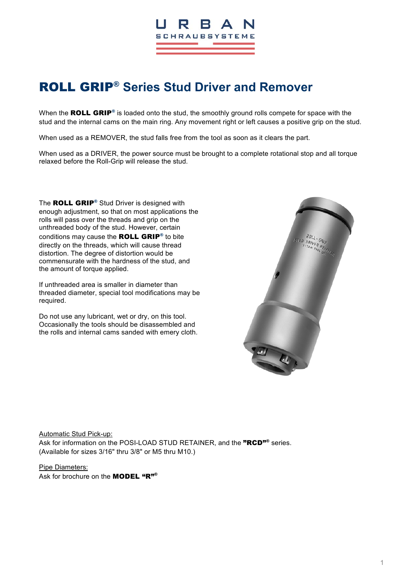

# ROLL GRIP® **Series Stud Driver and Remover**

When the ROLL GRIP<sup>®</sup> is loaded onto the stud, the smoothly ground rolls compete for space with the stud and the internal cams on the main ring. Any movement right or left causes a positive grip on the stud.

When used as a REMOVER, the stud falls free from the tool as soon as it clears the part.

When used as a DRIVER, the power source must be brought to a complete rotational stop and all torque relaxed before the Roll-Grip will release the stud.

The ROLL GRIP<sup>®</sup> Stud Driver is designed with enough adjustment, so that on most applications the rolls will pass over the threads and grip on the unthreaded body of the stud. However, certain conditions may cause the ROLL GRIP<sup>®</sup> to bite directly on the threads, which will cause thread distortion. The degree of distortion would be commensurate with the hardness of the stud, and the amount of torque applied.

If unthreaded area is smaller in diameter than threaded diameter, special tool modifications may be required.

Do not use any lubricant, wet or dry, on this tool. Occasionally the tools should be disassembled and the rolls and internal cams sanded with emery cloth.



Automatic Stud Pick-up: Ask for information on the POSI-LOAD STUD RETAINER, and the "RCD"<sup>®</sup> series. (Available for sizes 3/16" thru 3/8" or M5 thru M10.)

Pipe Diameters: Ask for brochure on the **MODEL** "R"<sup>®</sup>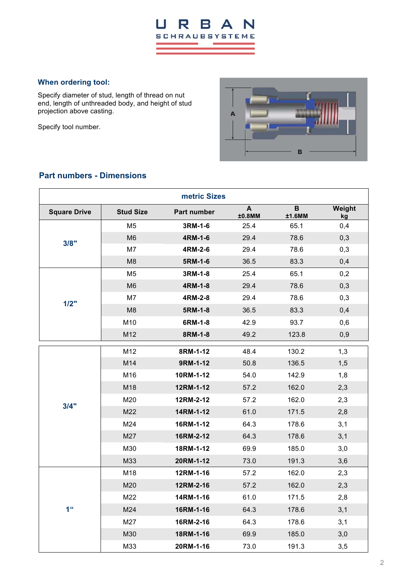#### $\overline{a}$ R **B** N  $\blacktriangle$ **SCHRAUBSYSTEME**

### **When ordering tool:**

Specify diameter of stud, length of thread on nut end, length of unthreaded body, and height of stud projection above casting.

Specify tool number.



### **Part numbers - Dimensions**

| metric Sizes        |                  |             |                        |                       |              |  |
|---------------------|------------------|-------------|------------------------|-----------------------|--------------|--|
| <b>Square Drive</b> | <b>Stud Size</b> | Part number | $\mathbf{A}$<br>±0.8MM | $\mathbf B$<br>±1.6MM | Weight<br>kg |  |
| 3/8"                | M <sub>5</sub>   | 3RM-1-6     | 25.4                   | 65.1                  | 0,4          |  |
|                     | M <sub>6</sub>   | 4RM-1-6     | 29.4                   | 78.6                  | 0,3          |  |
|                     | M7               | 4RM-2-6     | 29.4                   | 78.6                  | 0,3          |  |
|                     | M <sub>8</sub>   | 5RM-1-6     | 36.5                   | 83.3                  | 0,4          |  |
|                     | M <sub>5</sub>   | 3RM-1-8     | 25.4                   | 65.1                  | 0,2          |  |
|                     | M <sub>6</sub>   | 4RM-1-8     | 29.4                   | 78.6                  | 0,3          |  |
| 1/2"                | M7               | 4RM-2-8     | 29.4                   | 78.6                  | 0,3          |  |
|                     | M <sub>8</sub>   | 5RM-1-8     | 36.5                   | 83.3                  | 0,4          |  |
|                     | M10              | 6RM-1-8     | 42.9                   | 93.7                  | 0,6          |  |
|                     | M12              | 8RM-1-8     | 49.2                   | 123.8                 | 0,9          |  |
|                     | M12              | 8RM-1-12    | 48.4                   | 130.2                 | 1,3          |  |
|                     | M14              | 9RM-1-12    | 50.8                   | 136.5                 | 1,5          |  |
|                     | M16              | 10RM-1-12   | 54.0                   | 142.9                 | 1,8          |  |
|                     | M18              | 12RM-1-12   | 57.2                   | 162.0                 | 2,3          |  |
|                     | M20              | 12RM-2-12   | 57.2                   | 162.0                 | 2,3          |  |
| 3/4"                | M22              | 14RM-1-12   | 61.0                   | 171.5                 | 2,8          |  |
|                     | M24              | 16RM-1-12   | 64.3                   | 178.6                 | 3,1          |  |
|                     | M27              | 16RM-2-12   | 64.3                   | 178.6                 | 3,1          |  |
|                     | M30              | 18RM-1-12   | 69.9                   | 185.0                 | 3,0          |  |
|                     | M33              | 20RM-1-12   | 73.0                   | 191.3                 | 3,6          |  |
| 1 <sup>ii</sup>     | M18              | 12RM-1-16   | 57.2                   | 162.0                 | 2,3          |  |
|                     | M20              | 12RM-2-16   | 57.2                   | 162.0                 | 2,3          |  |
|                     | M22              | 14RM-1-16   | 61.0                   | 171.5                 | 2,8          |  |
|                     | M24              | 16RM-1-16   | 64.3                   | 178.6                 | 3,1          |  |
|                     | M27              | 16RM-2-16   | 64.3                   | 178.6                 | 3,1          |  |
|                     | M30              | 18RM-1-16   | 69.9                   | 185.0                 | 3,0          |  |
|                     | M33              | 20RM-1-16   | 73.0                   | 191.3                 | 3,5          |  |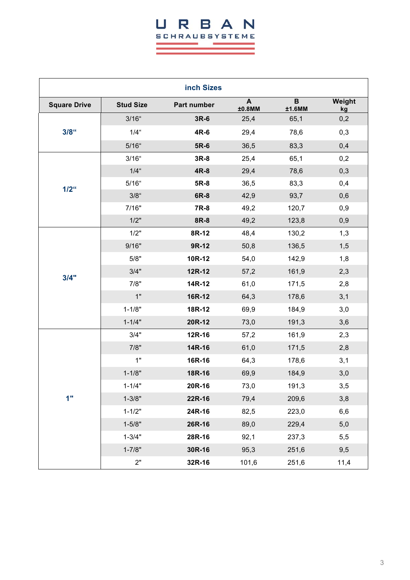## URBAN **SCHRAUBSYSTEME**

a.

×.

| inch Sizes          |                  |             |             |             |              |  |
|---------------------|------------------|-------------|-------------|-------------|--------------|--|
| <b>Square Drive</b> | <b>Stud Size</b> | Part number | A<br>±0.8MM | B<br>±1.6MM | Weight<br>kg |  |
| $3/8$ <sup>"</sup>  | $3/16$ "         | $3R-6$      | 25,4        | 65,1        | 0,2          |  |
|                     | $1/4$ "          | 4R-6        | 29,4        | 78,6        | 0,3          |  |
|                     | $5/16$ "         | 5R-6        | 36,5        | 83,3        | 0,4          |  |
|                     | $3/16$ "         | $3R-8$      | 25,4        | 65,1        | 0,2          |  |
|                     | $1/4$ "          | 4R-8        | 29,4        | 78,6        | 0,3          |  |
| $1/2$ <sup>"</sup>  | $5/16$ "         | 5R-8        | 36,5        | 83,3        | 0,4          |  |
|                     | $3/8$ "          | 6R-8        | 42,9        | 93,7        | 0,6          |  |
|                     | 7/16"            | 7R-8        | 49,2        | 120,7       | 0,9          |  |
|                     | 1/2"             | 8R-8        | 49,2        | 123,8       | 0,9          |  |
|                     | 1/2"             | 8R-12       | 48,4        | 130,2       | 1,3          |  |
|                     | 9/16"            | 9R-12       | 50,8        | 136,5       | 1,5          |  |
|                     | 5/8"             | 10R-12      | 54,0        | 142,9       | 1,8          |  |
| 3/4"                | 3/4"             | 12R-12      | 57,2        | 161,9       | 2,3          |  |
|                     | 7/8"             | 14R-12      | 61,0        | 171,5       | 2,8          |  |
|                     | 1"               | 16R-12      | 64,3        | 178,6       | 3,1          |  |
|                     | $1 - 1/8"$       | 18R-12      | 69,9        | 184,9       | 3,0          |  |
|                     | $1 - 1/4"$       | 20R-12      | 73,0        | 191,3       | 3,6          |  |
|                     | 3/4"             | 12R-16      | 57,2        | 161,9       | 2,3          |  |
|                     | 7/8"             | 14R-16      | 61,0        | 171,5       | 2,8          |  |
|                     | 1"               | 16R-16      | 64,3        | 178,6       | 3,1          |  |
|                     | $1 - 1/8"$       | 18R-16      | 69,9        | 184,9       | 3,0          |  |
|                     | $1 - 1/4"$       | 20R-16      | 73,0        | 191,3       | 3,5          |  |
| 1"                  | $1 - 3/8"$       | 22R-16      | 79,4        | 209,6       | 3,8          |  |
|                     | $1 - 1/2"$       | 24R-16      | 82,5        | 223,0       | 6,6          |  |
|                     | $1 - 5/8"$       | 26R-16      | 89,0        | 229,4       | 5,0          |  |
|                     | $1 - 3/4"$       | 28R-16      | 92,1        | 237,3       | 5,5          |  |
|                     | $1 - 7/8"$       | 30R-16      | 95,3        | 251,6       | 9,5          |  |
|                     | 2"               | 32R-16      | 101,6       | 251,6       | 11,4         |  |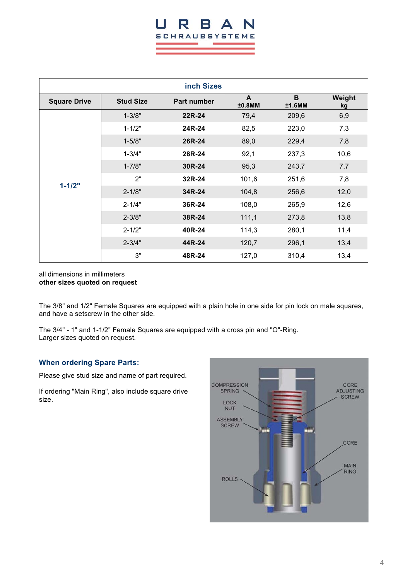## I. **SCHRAUBSYSTEME**

| inch Sizes          |                                        |        |                |             |              |  |
|---------------------|----------------------------------------|--------|----------------|-------------|--------------|--|
| <b>Square Drive</b> | <b>Stud Size</b><br><b>Part number</b> |        | A<br>$±0.8$ MM | B<br>±1.6MM | Weight<br>kg |  |
|                     | $1 - 3/8"$                             | 22R-24 | 79,4           | 209,6       | 6,9          |  |
|                     | $1 - 1/2"$                             | 24R-24 | 82,5           | 223,0       | 7,3          |  |
|                     | $1 - 5/8"$                             | 26R-24 | 89,0           | 229,4       | 7,8          |  |
|                     | $1 - 3/4"$                             | 28R-24 | 92,1           | 237,3       | 10,6         |  |
|                     | $1 - 7/8"$                             | 30R-24 | 95,3           | 243,7       | 7,7          |  |
|                     | 2"                                     | 32R-24 | 101,6          | 251,6       | 7,8          |  |
| $1 - 1/2"$          | $2 - 1/8"$                             | 34R-24 | 104,8          | 256,6       | 12,0         |  |
|                     | $2 - 1/4"$                             | 36R-24 | 108,0          | 265,9       | 12,6         |  |
|                     | $2 - 3/8"$                             | 38R-24 | 111,1          | 273,8       | 13,8         |  |
|                     | $2 - 1/2"$                             | 40R-24 | 114,3          | 280,1       | 11,4         |  |
|                     | $2 - 3/4"$                             | 44R-24 | 120,7          | 296,1       | 13,4         |  |
|                     | 3"                                     | 48R-24 | 127,0          | 310,4       | 13,4         |  |

#### all dimensions in millimeters **other sizes quoted on request**

The 3/8" and 1/2" Female Squares are equipped with a plain hole in one side for pin lock on male squares, and have a setscrew in the other side.

The 3/4" - 1" and 1-1/2" Female Squares are equipped with a cross pin and "O"-Ring. Larger sizes quoted on request.

#### **When ordering Spare Parts:**

Please give stud size and name of part required.

If ordering "Main Ring", also include square drive size.

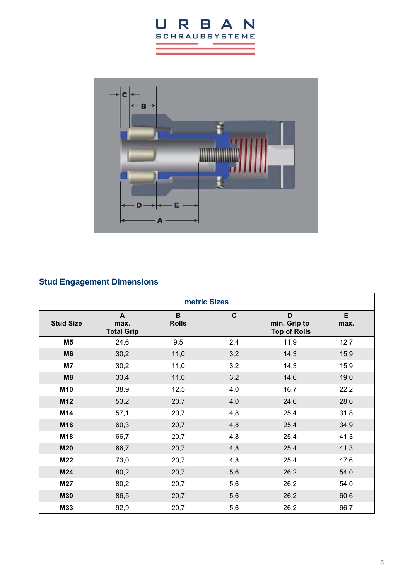



## **Stud Engagement Dimensions**

| metric Sizes     |                                |                   |             |                                          |           |  |
|------------------|--------------------------------|-------------------|-------------|------------------------------------------|-----------|--|
| <b>Stud Size</b> | A<br>max.<br><b>Total Grip</b> | B<br><b>Rolls</b> | $\mathbf c$ | D<br>min. Grip to<br><b>Top of Rolls</b> | E<br>max. |  |
| M <sub>5</sub>   | 24,6                           | 9,5               | 2,4         | 11,9                                     | 12,7      |  |
| M <sub>6</sub>   | 30,2                           | 11,0              | 3,2         | 14,3                                     | 15,9      |  |
| M7               | 30,2                           | 11,0              | 3,2         | 14,3                                     | 15,9      |  |
| M8               | 33,4                           | 11,0              | 3,2         | 14,6                                     | 19,0      |  |
| M10              | 38,9                           | 12,5              | 4,0         | 16,7                                     | 22,2      |  |
| M12              | 53,2                           | 20,7              | 4,0         | 24,6                                     | 28,6      |  |
| M14              | 57,1                           | 20,7              | 4,8         | 25,4                                     | 31,8      |  |
| M16              | 60,3                           | 20,7              | 4,8         | 25,4                                     | 34,9      |  |
| M18              | 66,7                           | 20,7              | 4,8         | 25,4                                     | 41,3      |  |
| <b>M20</b>       | 66,7                           | 20,7              | 4,8         | 25,4                                     | 41,3      |  |
| M22              | 73,0                           | 20,7              | 4,8         | 25,4                                     | 47,6      |  |
| M24              | 80,2                           | 20,7              | 5,6         | 26,2                                     | 54,0      |  |
| M27              | 80,2                           | 20,7              | 5,6         | 26,2                                     | 54,0      |  |
| M30              | 86,5                           | 20,7              | 5,6         | 26,2                                     | 60,6      |  |
| M33              | 92,9                           | 20,7              | 5,6         | 26,2                                     | 66,7      |  |